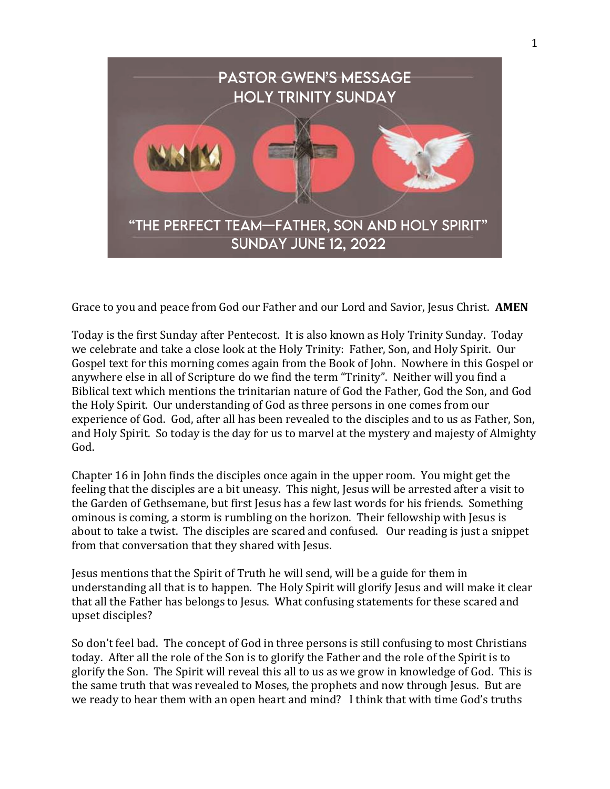

Grace to you and peace from God our Father and our Lord and Savior, Jesus Christ. **AMEN**

Today is the first Sunday after Pentecost. It is also known as Holy Trinity Sunday. Today we celebrate and take a close look at the Holy Trinity: Father, Son, and Holy Spirit. Our Gospel text for this morning comes again from the Book of John. Nowhere in this Gospel or anywhere else in all of Scripture do we find the term "Trinity". Neither will you find a Biblical text which mentions the trinitarian nature of God the Father, God the Son, and God the Holy Spirit. Our understanding of God as three persons in one comes from our experience of God. God, after all has been revealed to the disciples and to us as Father, Son, and Holy Spirit. So today is the day for us to marvel at the mystery and majesty of Almighty God.

Chapter 16 in John finds the disciples once again in the upper room. You might get the feeling that the disciples are a bit uneasy. This night, Jesus will be arrested after a visit to the Garden of Gethsemane, but first Jesus has a few last words for his friends. Something ominous is coming, a storm is rumbling on the horizon. Their fellowship with Jesus is about to take a twist. The disciples are scared and confused. Our reading is just a snippet from that conversation that they shared with Jesus.

Jesus mentions that the Spirit of Truth he will send, will be a guide for them in understanding all that is to happen. The Holy Spirit will glorify Jesus and will make it clear that all the Father has belongs to Jesus. What confusing statements for these scared and upset disciples?

So don't feel bad. The concept of God in three persons is still confusing to most Christians today. After all the role of the Son is to glorify the Father and the role of the Spirit is to glorify the Son. The Spirit will reveal this all to us as we grow in knowledge of God. This is the same truth that was revealed to Moses, the prophets and now through Jesus. But are we ready to hear them with an open heart and mind? I think that with time God's truths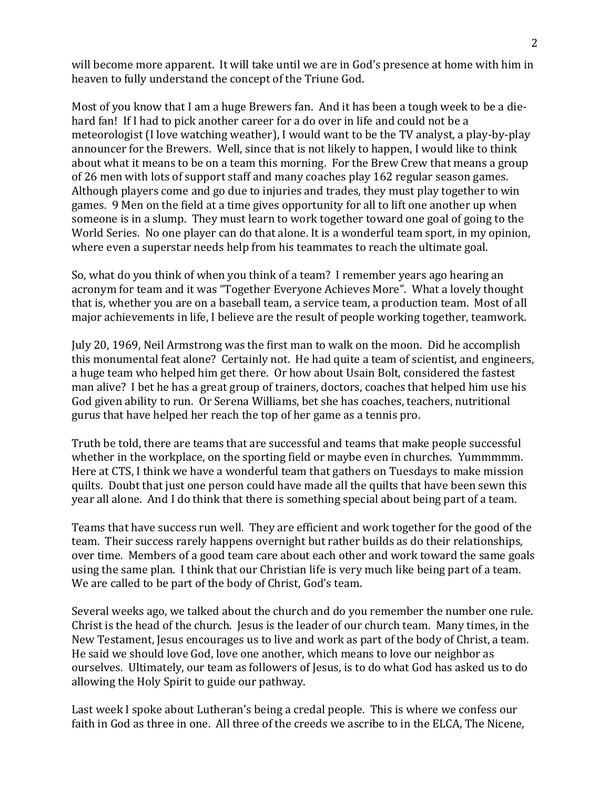will become more apparent. It will take until we are in God's presence at home with him in heaven to fully understand the concept of the Triune God.

Most of you know that I am a huge Brewers fan. And it has been a tough week to be a diehard fan! If I had to pick another career for a do over in life and could not be a meteorologist (I love watching weather), I would want to be the TV analyst, a play-by-play announcer for the Brewers. Well, since that is not likely to happen, I would like to think about what it means to be on a team this morning. For the Brew Crew that means a group of 26 men with lots of support staff and many coaches play 162 regular season games. Although players come and go due to injuries and trades, they must play together to win games. 9 Men on the field at a time gives opportunity for all to lift one another up when someone is in a slump. They must learn to work together toward one goal of going to the World Series. No one player can do that alone. It is a wonderful team sport, in my opinion, where even a superstar needs help from his teammates to reach the ultimate goal.

So, what do you think of when you think of a team? I remember years ago hearing an acronym for team and it was "Together Everyone Achieves More". What a lovely thought that is, whether you are on a baseball team, a service team, a production team. Most of all major achievements in life, I believe are the result of people working together, teamwork.

July 20, 1969, Neil Armstrong was the first man to walk on the moon. Did he accomplish this monumental feat alone? Certainly not. He had quite a team of scientist, and engineers, a huge team who helped him get there. Or how about Usain Bolt, considered the fastest man alive? I bet he has a great group of trainers, doctors, coaches that helped him use his God given ability to run. Or Serena Williams, bet she has coaches, teachers, nutritional gurus that have helped her reach the top of her game as a tennis pro.

Truth be told, there are teams that are successful and teams that make people successful whether in the workplace, on the sporting field or maybe even in churches. Yummmmm. Here at CTS, I think we have a wonderful team that gathers on Tuesdays to make mission quilts. Doubt that just one person could have made all the quilts that have been sewn this year all alone. And I do think that there is something special about being part of a team.

Teams that have success run well. They are efficient and work together for the good of the team. Their success rarely happens overnight but rather builds as do their relationships, over time. Members of a good team care about each other and work toward the same goals using the same plan. I think that our Christian life is very much like being part of a team. We are called to be part of the body of Christ, God's team.

Several weeks ago, we talked about the church and do you remember the number one rule. Christ is the head of the church. Jesus is the leader of our church team. Many times, in the New Testament, Jesus encourages us to live and work as part of the body of Christ, a team. He said we should love God, love one another, which means to love our neighbor as ourselves. Ultimately, our team as followers of Jesus, is to do what God has asked us to do allowing the Holy Spirit to guide our pathway.

Last week I spoke about Lutheran's being a credal people. This is where we confess our faith in God as three in one. All three of the creeds we ascribe to in the ELCA, The Nicene,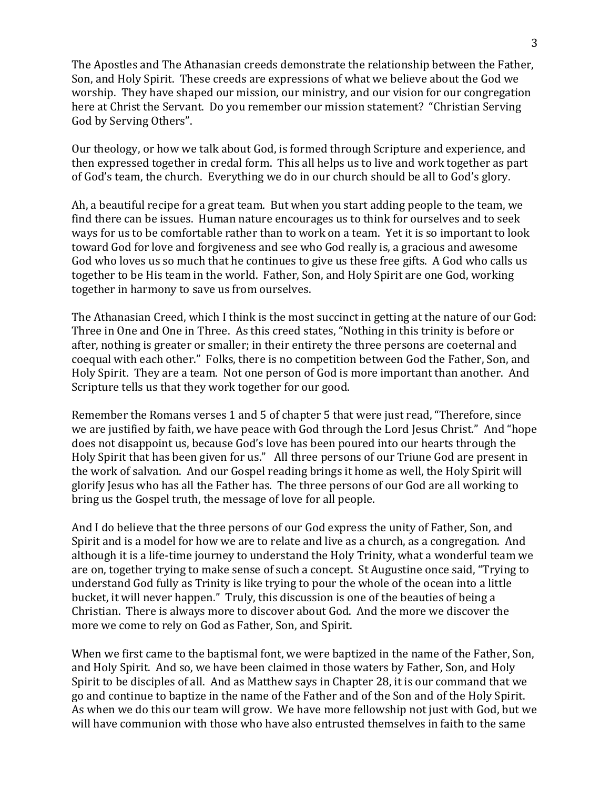The Apostles and The Athanasian creeds demonstrate the relationship between the Father, Son, and Holy Spirit. These creeds are expressions of what we believe about the God we worship. They have shaped our mission, our ministry, and our vision for our congregation here at Christ the Servant. Do you remember our mission statement? "Christian Serving God by Serving Others".

Our theology, or how we talk about God, is formed through Scripture and experience, and then expressed together in credal form. This all helps us to live and work together as part of God's team, the church. Everything we do in our church should be all to God's glory.

Ah, a beautiful recipe for a great team. But when you start adding people to the team, we find there can be issues. Human nature encourages us to think for ourselves and to seek ways for us to be comfortable rather than to work on a team. Yet it is so important to look toward God for love and forgiveness and see who God really is, a gracious and awesome God who loves us so much that he continues to give us these free gifts. A God who calls us together to be His team in the world. Father, Son, and Holy Spirit are one God, working together in harmony to save us from ourselves.

The Athanasian Creed, which I think is the most succinct in getting at the nature of our God: Three in One and One in Three. As this creed states, "Nothing in this trinity is before or after, nothing is greater or smaller; in their entirety the three persons are coeternal and coequal with each other." Folks, there is no competition between God the Father, Son, and Holy Spirit. They are a team. Not one person of God is more important than another. And Scripture tells us that they work together for our good.

Remember the Romans verses 1 and 5 of chapter 5 that were just read, "Therefore, since we are justified by faith, we have peace with God through the Lord Jesus Christ." And "hope does not disappoint us, because God's love has been poured into our hearts through the Holy Spirit that has been given for us." All three persons of our Triune God are present in the work of salvation. And our Gospel reading brings it home as well, the Holy Spirit will glorify Jesus who has all the Father has. The three persons of our God are all working to bring us the Gospel truth, the message of love for all people.

And I do believe that the three persons of our God express the unity of Father, Son, and Spirit and is a model for how we are to relate and live as a church, as a congregation. And although it is a life-time journey to understand the Holy Trinity, what a wonderful team we are on, together trying to make sense of such a concept. St Augustine once said, "Trying to understand God fully as Trinity is like trying to pour the whole of the ocean into a little bucket, it will never happen." Truly, this discussion is one of the beauties of being a Christian. There is always more to discover about God. And the more we discover the more we come to rely on God as Father, Son, and Spirit.

When we first came to the baptismal font, we were baptized in the name of the Father, Son, and Holy Spirit. And so, we have been claimed in those waters by Father, Son, and Holy Spirit to be disciples of all. And as Matthew says in Chapter 28, it is our command that we go and continue to baptize in the name of the Father and of the Son and of the Holy Spirit. As when we do this our team will grow. We have more fellowship not just with God, but we will have communion with those who have also entrusted themselves in faith to the same